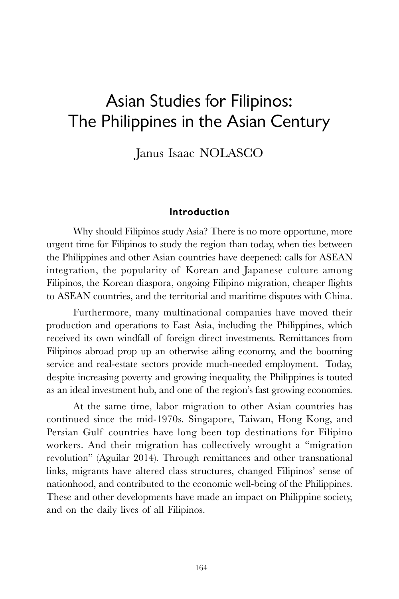# Asian Studies for Filipinos: The Philippines in the Asian Century

Janus Isaac NOLASCO

## Introduction

Why should Filipinos study Asia? There is no more opportune, more urgent time for Filipinos to study the region than today, when ties between the Philippines and other Asian countries have deepened: calls for ASEAN integration, the popularity of Korean and Japanese culture among Filipinos, the Korean diaspora, ongoing Filipino migration, cheaper flights to ASEAN countries, and the territorial and maritime disputes with China.

Furthermore, many multinational companies have moved their production and operations to East Asia, including the Philippines, which received its own windfall of foreign direct investments. Remittances from Filipinos abroad prop up an otherwise ailing economy, and the booming service and real-estate sectors provide much-needed employment. Today, despite increasing poverty and growing inequality, the Philippines is touted as an ideal investment hub, and one of the region's fast growing economies.

At the same time, labor migration to other Asian countries has continued since the mid-1970s. Singapore, Taiwan, Hong Kong, and Persian Gulf countries have long been top destinations for Filipino workers. And their migration has collectively wrought a "migration revolution" (Aguilar 2014). Through remittances and other transnational links, migrants have altered class structures, changed Filipinos' sense of nationhood, and contributed to the economic well-being of the Philippines. These and other developments have made an impact on Philippine society, and on the daily lives of all Filipinos.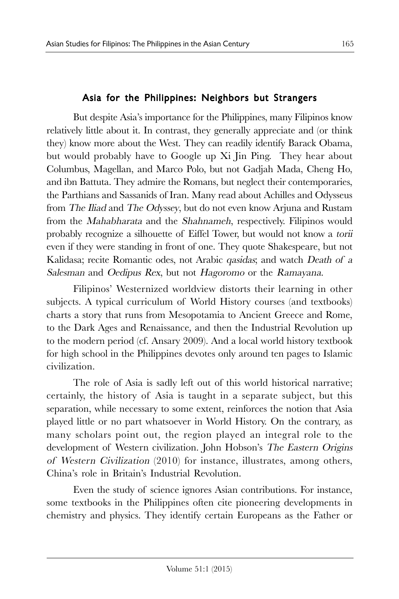# Asia for the Philippines: Neighbors but Strangers

But despite Asia's importance for the Philippines, many Filipinos know relatively little about it. In contrast, they generally appreciate and (or think they) know more about the West. They can readily identify Barack Obama, but would probably have to Google up Xi Jin Ping. They hear about Columbus, Magellan, and Marco Polo, but not Gadjah Mada, Cheng Ho, and ibn Battuta. They admire the Romans, but neglect their contemporaries, the Parthians and Sassanids of Iran. Many read about Achilles and Odysseus from The Iliad and The Odyssey, but do not even know Arjuna and Rustam from the Mahabharata and the Shahnameh, respectively. Filipinos would probably recognize a silhouette of Eiffel Tower, but would not know a torii even if they were standing in front of one. They quote Shakespeare, but not Kalidasa; recite Romantic odes, not Arabic qasidas; and watch Death of a Salesman and Oedipus Rex, but not Hagoromo or the Ramayana.

Filipinos' Westernized worldview distorts their learning in other subjects. A typical curriculum of World History courses (and textbooks) charts a story that runs from Mesopotamia to Ancient Greece and Rome, to the Dark Ages and Renaissance, and then the Industrial Revolution up to the modern period (cf. Ansary 2009). And a local world history textbook for high school in the Philippines devotes only around ten pages to Islamic civilization.

The role of Asia is sadly left out of this world historical narrative; certainly, the history of Asia is taught in a separate subject, but this separation, while necessary to some extent, reinforces the notion that Asia played little or no part whatsoever in World History. On the contrary, as many scholars point out, the region played an integral role to the development of Western civilization. John Hobson's The Eastern Origins of Western Civilization (2010) for instance, illustrates, among others, China's role in Britain's Industrial Revolution.

Even the study of science ignores Asian contributions. For instance, some textbooks in the Philippines often cite pioneering developments in chemistry and physics. They identify certain Europeans as the Father or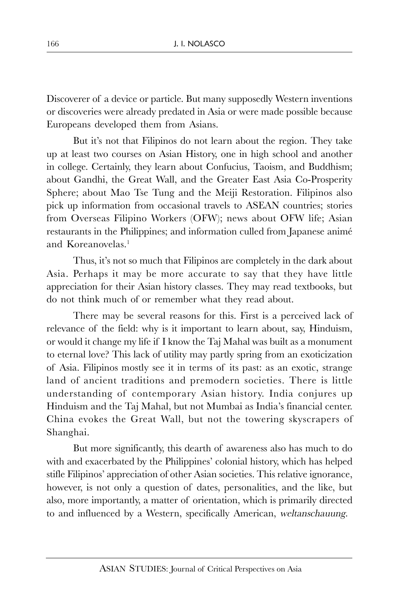Discoverer of a device or particle. But many supposedly Western inventions or discoveries were already predated in Asia or were made possible because Europeans developed them from Asians.

But it's not that Filipinos do not learn about the region. They take up at least two courses on Asian History, one in high school and another in college. Certainly, they learn about Confucius, Taoism, and Buddhism; about Gandhi, the Great Wall, and the Greater East Asia Co-Prosperity Sphere; about Mao Tse Tung and the Meiji Restoration. Filipinos also pick up information from occasional travels to ASEAN countries; stories from Overseas Filipino Workers (OFW); news about OFW life; Asian restaurants in the Philippines; and information culled from Japanese animé and Koreanovelas. 1

Thus, it's not so much that Filipinos are completely in the dark about Asia. Perhaps it may be more accurate to say that they have little appreciation for their Asian history classes. They may read textbooks, but do not think much of or remember what they read about.

There may be several reasons for this. First is a perceived lack of relevance of the field: why is it important to learn about, say, Hinduism, or would it change my life if I know the Taj Mahal was built as a monument to eternal love? This lack of utility may partly spring from an exoticization of Asia. Filipinos mostly see it in terms of its past: as an exotic, strange land of ancient traditions and premodern societies. There is little understanding of contemporary Asian history. India conjures up Hinduism and the Taj Mahal, but not Mumbai as India's financial center. China evokes the Great Wall, but not the towering skyscrapers of Shanghai.

But more significantly, this dearth of awareness also has much to do with and exacerbated by the Philippines' colonial history, which has helped stifle Filipinos' appreciation of other Asian societies. This relative ignorance, however, is not only a question of dates, personalities, and the like, but also, more importantly, a matter of orientation, which is primarily directed to and influenced by a Western, specifically American, weltanschauung.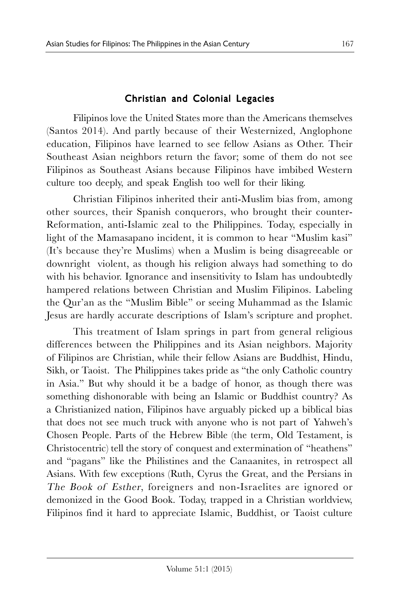# Christian and Colonial Legacies

Filipinos love the United States more than the Americans themselves (Santos 2014). And partly because of their Westernized, Anglophone education, Filipinos have learned to see fellow Asians as Other. Their Southeast Asian neighbors return the favor; some of them do not see Filipinos as Southeast Asians because Filipinos have imbibed Western culture too deeply, and speak English too well for their liking.

Christian Filipinos inherited their anti-Muslim bias from, among other sources, their Spanish conquerors, who brought their counter-Reformation, anti-Islamic zeal to the Philippines. Today, especially in light of the Mamasapano incident, it is common to hear "Muslim kasi" (It's because they're Muslims) when a Muslim is being disagreeable or downright violent, as though his religion always had something to do with his behavior. Ignorance and insensitivity to Islam has undoubtedly hampered relations between Christian and Muslim Filipinos. Labeling the Qur'an as the "Muslim Bible" or seeing Muhammad as the Islamic Jesus are hardly accurate descriptions of Islam's scripture and prophet.

This treatment of Islam springs in part from general religious differences between the Philippines and its Asian neighbors. Majority of Filipinos are Christian, while their fellow Asians are Buddhist, Hindu, Sikh, or Taoist. The Philippines takes pride as "the only Catholic country in Asia." But why should it be a badge of honor, as though there was something dishonorable with being an Islamic or Buddhist country? As a Christianized nation, Filipinos have arguably picked up a biblical bias that does not see much truck with anyone who is not part of Yahweh's Chosen People. Parts of the Hebrew Bible (the term, Old Testament, is Christocentric) tell the story of conquest and extermination of "heathens" and "pagans" like the Philistines and the Canaanites, in retrospect all Asians. With few exceptions (Ruth, Cyrus the Great, and the Persians in The Book of Esther, foreigners and non-Israelites are ignored or demonized in the Good Book. Today, trapped in a Christian worldview, Filipinos find it hard to appreciate Islamic, Buddhist, or Taoist culture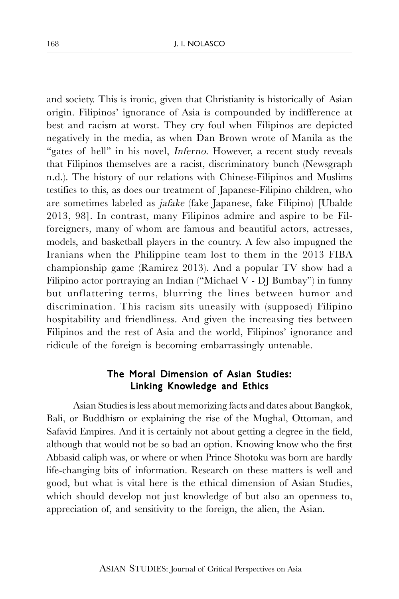and society. This is ironic, given that Christianity is historically of Asian origin. Filipinos' ignorance of Asia is compounded by indifference at best and racism at worst. They cry foul when Filipinos are depicted negatively in the media, as when Dan Brown wrote of Manila as the "gates of hell" in his novel, *Inferno*. However, a recent study reveals that Filipinos themselves are a racist, discriminatory bunch (Newsgraph n.d.). The history of our relations with Chinese-Filipinos and Muslims testifies to this, as does our treatment of Japanese-Filipino children, who are sometimes labeled as jafake (fake Japanese, fake Filipino) [Ubalde 2013, 98]. In contrast, many Filipinos admire and aspire to be Filforeigners, many of whom are famous and beautiful actors, actresses, models, and basketball players in the country. A few also impugned the Iranians when the Philippine team lost to them in the 2013 FIBA championship game (Ramirez 2013). And a popular TV show had a Filipino actor portraying an Indian ("Michael V - DJ Bumbay") in funny but unflattering terms, blurring the lines between humor and discrimination. This racism sits uneasily with (supposed) Filipino hospitability and friendliness. And given the increasing ties between Filipinos and the rest of Asia and the world, Filipinos' ignorance and ridicule of the foreign is becoming embarrassingly untenable.

# The Moral Dimension of Asian Studies: Linking Knowledge and Ethics

Asian Studies is less about memorizing facts and dates about Bangkok, Bali, or Buddhism or explaining the rise of the Mughal, Ottoman, and Safavid Empires. And it is certainly not about getting a degree in the field, although that would not be so bad an option. Knowing know who the first Abbasid caliph was, or where or when Prince Shotoku was born are hardly life-changing bits of information. Research on these matters is well and good, but what is vital here is the ethical dimension of Asian Studies, which should develop not just knowledge of but also an openness to, appreciation of, and sensitivity to the foreign, the alien, the Asian.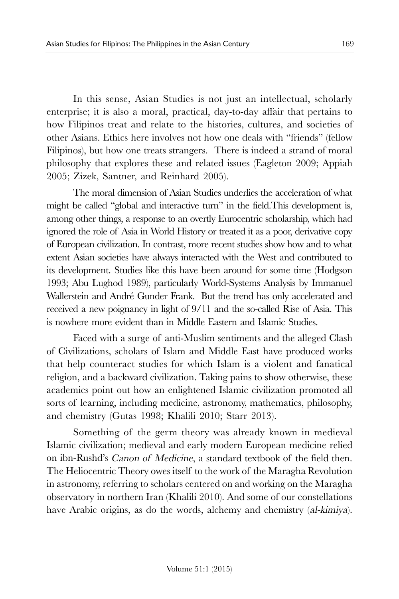In this sense, Asian Studies is not just an intellectual, scholarly enterprise; it is also a moral, practical, day-to-day affair that pertains to how Filipinos treat and relate to the histories, cultures, and societies of other Asians. Ethics here involves not how one deals with "friends" (fellow Filipinos), but how one treats strangers. There is indeed a strand of moral philosophy that explores these and related issues (Eagleton 2009; Appiah 2005; Zizek, Santner, and Reinhard 2005).

The moral dimension of Asian Studies underlies the acceleration of what might be called "global and interactive turn" in the field.This development is, among other things, a response to an overtly Eurocentric scholarship, which had ignored the role of Asia in World History or treated it as a poor, derivative copy of European civilization. In contrast, more recent studies show how and to what extent Asian societies have always interacted with the West and contributed to its development. Studies like this have been around for some time (Hodgson 1993; Abu Lughod 1989), particularly World-Systems Analysis by Immanuel Wallerstein and André Gunder Frank. But the trend has only accelerated and received a new poignancy in light of 9/11 and the so-called Rise of Asia. This is nowhere more evident than in Middle Eastern and Islamic Studies.

Faced with a surge of anti-Muslim sentiments and the alleged Clash of Civilizations, scholars of Islam and Middle East have produced works that help counteract studies for which Islam is a violent and fanatical religion, and a backward civilization. Taking pains to show otherwise, these academics point out how an enlightened Islamic civilization promoted all sorts of learning, including medicine, astronomy, mathematics, philosophy, and chemistry (Gutas 1998; Khalili 2010; Starr 2013).

Something of the germ theory was already known in medieval Islamic civilization; medieval and early modern European medicine relied on ibn-Rushd's Canon of Medicine, a standard textbook of the field then. The Heliocentric Theory owes itself to the work of the Maragha Revolution in astronomy, referring to scholars centered on and working on the Maragha observatory in northern Iran (Khalili 2010). And some of our constellations have Arabic origins, as do the words, alchemy and chemistry (al-kimiya).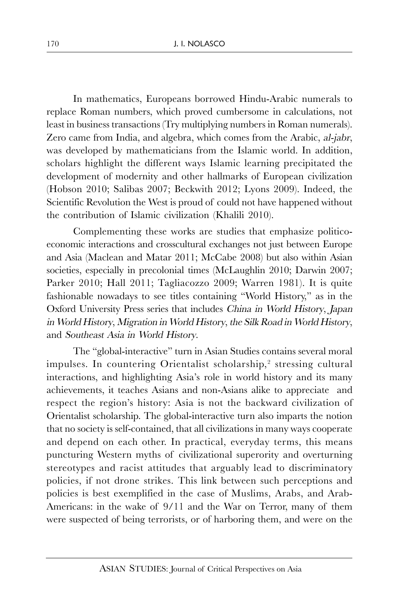In mathematics, Europeans borrowed Hindu-Arabic numerals to replace Roman numbers, which proved cumbersome in calculations, not least in business transactions (Try multiplying numbers in Roman numerals). Zero came from India, and algebra, which comes from the Arabic, al-jabr, was developed by mathematicians from the Islamic world. In addition, scholars highlight the different ways Islamic learning precipitated the development of modernity and other hallmarks of European civilization (Hobson 2010; Salibas 2007; Beckwith 2012; Lyons 2009). Indeed, the Scientific Revolution the West is proud of could not have happened without the contribution of Islamic civilization (Khalili 2010).

Complementing these works are studies that emphasize politicoeconomic interactions and crosscultural exchanges not just between Europe and Asia (Maclean and Matar 2011; McCabe 2008) but also within Asian societies, especially in precolonial times (McLaughlin 2010; Darwin 2007; Parker 2010; Hall 2011; Tagliacozzo 2009; Warren 1981). It is quite fashionable nowadays to see titles containing "World History," as in the Oxford University Press series that includes China in World History, Japan in World History, Migration in World History, the Silk Road in World History, and Southeast Asia in World History.

The "global-interactive" turn in Asian Studies contains several moral impulses. In countering Orientalist scholarship, 2 stressing cultural interactions, and highlighting Asia's role in world history and its many achievements, it teaches Asians and non-Asians alike to appreciate and respect the region's history: Asia is not the backward civilization of Orientalist scholarship. The global-interactive turn also imparts the notion that no society is self-contained, that all civilizations in many ways cooperate and depend on each other. In practical, everyday terms, this means puncturing Western myths of civilizational superority and overturning stereotypes and racist attitudes that arguably lead to discriminatory policies, if not drone strikes. This link between such perceptions and policies is best exemplified in the case of Muslims, Arabs, and Arab-Americans: in the wake of 9/11 and the War on Terror, many of them were suspected of being terrorists, or of harboring them, and were on the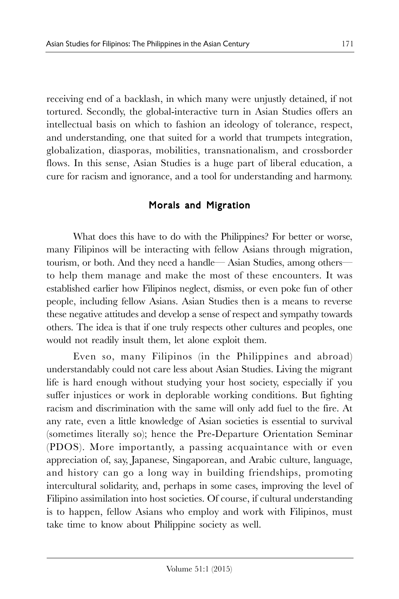receiving end of a backlash, in which many were unjustly detained, if not tortured. Secondly, the global-interactive turn in Asian Studies offers an intellectual basis on which to fashion an ideology of tolerance, respect, and understanding, one that suited for a world that trumpets integration, globalization, diasporas, mobilities, transnationalism, and crossborder flows. In this sense, Asian Studies is a huge part of liberal education, a cure for racism and ignorance, and a tool for understanding and harmony.

# Morals and Migration

What does this have to do with the Philippines? For better or worse, many Filipinos will be interacting with fellow Asians through migration, tourism, or both. And they need a handle— Asian Studies, among others to help them manage and make the most of these encounters. It was established earlier how Filipinos neglect, dismiss, or even poke fun of other people, including fellow Asians. Asian Studies then is a means to reverse these negative attitudes and develop a sense of respect and sympathy towards others. The idea is that if one truly respects other cultures and peoples, one would not readily insult them, let alone exploit them.

Even so, many Filipinos (in the Philippines and abroad) understandably could not care less about Asian Studies. Living the migrant life is hard enough without studying your host society, especially if you suffer injustices or work in deplorable working conditions. But fighting racism and discrimination with the same will only add fuel to the fire. At any rate, even a little knowledge of Asian societies is essential to survival (sometimes literally so); hence the Pre-Departure Orientation Seminar (PDOS). More importantly, a passing acquaintance with or even appreciation of, say, Japanese, Singaporean, and Arabic culture, language, and history can go a long way in building friendships, promoting intercultural solidarity, and, perhaps in some cases, improving the level of Filipino assimilation into host societies. Of course, if cultural understanding is to happen, fellow Asians who employ and work with Filipinos, must take time to know about Philippine society as well.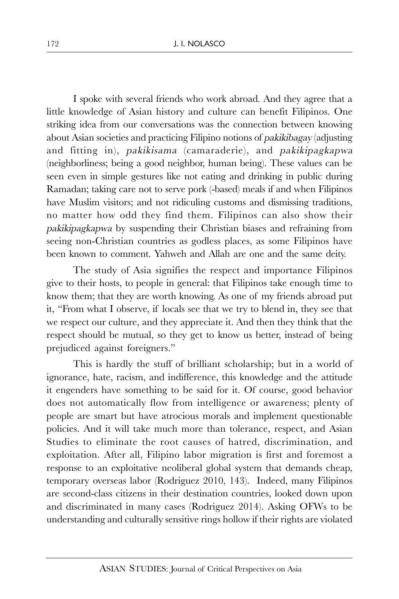I spoke with several friends who work abroad. And they agree that a little knowledge of Asian history and culture can benefit Filipinos. One striking idea from our conversations was the connection between knowing about Asian societies and practicing Filipino notions of pakikibagay (adjusting and fitting in), pakikisama (camaraderie), and pakikipagkapwa (neighborliness; being a good neighbor, human being). These values can be seen even in simple gestures like not eating and drinking in public during Ramadan; taking care not to serve pork (-based) meals if and when Filipinos have Muslim visitors; and not ridiculing customs and dismissing traditions, no matter how odd they find them. Filipinos can also show their pakikipagkapwa by suspending their Christian biases and refraining from seeing non-Christian countries as godless places, as some Filipinos have been known to comment. Yahweh and Allah are one and the same deity.

The study of Asia signifies the respect and importance Filipinos give to their hosts, to people in general: that Filipinos take enough time to know them; that they are worth knowing. As one of my friends abroad put it, "From what I observe, if locals see that we try to blend in, they see that we respect our culture, and they appreciate it. And then they think that the respect should be mutual, so they get to know us better, instead of being prejudiced against foreigners."

This is hardly the stuff of brilliant scholarship; but in a world of ignorance, hate, racism, and indifference, this knowledge and the attitude it engenders have something to be said for it. Of course, good behavior does not automatically flow from intelligence or awareness; plenty of people are smart but have atrocious morals and implement questionable policies. And it will take much more than tolerance, respect, and Asian Studies to eliminate the root causes of hatred, discrimination, and exploitation. After all, Filipino labor migration is first and foremost a response to an exploitative neoliberal global system that demands cheap, temporary overseas labor (Rodriguez 2010, 143). Indeed, many Filipinos are second-class citizens in their destination countries, looked down upon and discriminated in many cases (Rodriguez 2014). Asking OFWs to be understanding and culturally sensitive rings hollow if their rights are violated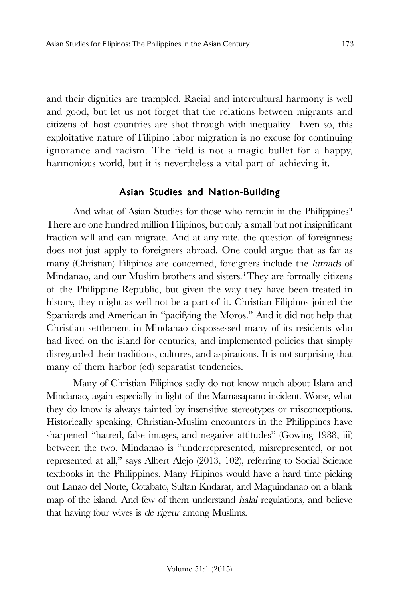and their dignities are trampled. Racial and intercultural harmony is well and good, but let us not forget that the relations between migrants and citizens of host countries are shot through with inequality. Even so, this exploitative nature of Filipino labor migration is no excuse for continuing ignorance and racism. The field is not a magic bullet for a happy, harmonious world, but it is nevertheless a vital part of achieving it.

# Asian Studies and Nation-Building

And what of Asian Studies for those who remain in the Philippines? There are one hundred million Filipinos, but only a small but not insignificant fraction will and can migrate. And at any rate, the question of foreignness does not just apply to foreigners abroad. One could argue that as far as many (Christian) Filipinos are concerned, foreigners include the lumads of Mindanao, and our Muslim brothers and sisters.<sup>3</sup> They are formally citizens of the Philippine Republic, but given the way they have been treated in history, they might as well not be a part of it. Christian Filipinos joined the Spaniards and American in "pacifying the Moros." And it did not help that Christian settlement in Mindanao dispossessed many of its residents who had lived on the island for centuries, and implemented policies that simply disregarded their traditions, cultures, and aspirations. It is not surprising that many of them harbor (ed) separatist tendencies.

Many of Christian Filipinos sadly do not know much about Islam and Mindanao, again especially in light of the Mamasapano incident. Worse, what they do know is always tainted by insensitive stereotypes or misconceptions. Historically speaking, Christian-Muslim encounters in the Philippines have sharpened "hatred, false images, and negative attitudes" (Gowing 1988, iii) between the two. Mindanao is "underrepresented, misrepresented, or not represented at all," says Albert Alejo (2013, 102), referring to Social Science textbooks in the Philippines. Many Filipinos would have a hard time picking out Lanao del Norte, Cotabato, Sultan Kudarat, and Maguindanao on a blank map of the island. And few of them understand halal regulations, and believe that having four wives is de rigeur among Muslims.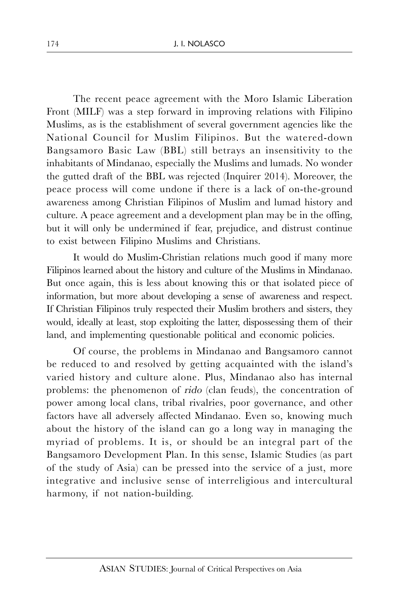The recent peace agreement with the Moro Islamic Liberation Front (MILF) was a step forward in improving relations with Filipino Muslims, as is the establishment of several government agencies like the National Council for Muslim Filipinos. But the watered-down Bangsamoro Basic Law (BBL) still betrays an insensitivity to the inhabitants of Mindanao, especially the Muslims and lumads. No wonder the gutted draft of the BBL was rejected (Inquirer 2014). Moreover, the peace process will come undone if there is a lack of on-the-ground awareness among Christian Filipinos of Muslim and lumad history and culture. A peace agreement and a development plan may be in the offing, but it will only be undermined if fear, prejudice, and distrust continue to exist between Filipino Muslims and Christians.

It would do Muslim-Christian relations much good if many more Filipinos learned about the history and culture of the Muslims in Mindanao. But once again, this is less about knowing this or that isolated piece of information, but more about developing a sense of awareness and respect. If Christian Filipinos truly respected their Muslim brothers and sisters, they would, ideally at least, stop exploiting the latter, dispossessing them of their land, and implementing questionable political and economic policies.

Of course, the problems in Mindanao and Bangsamoro cannot be reduced to and resolved by getting acquainted with the island's varied history and culture alone. Plus, Mindanao also has internal problems: the phenomenon of rido (clan feuds), the concentration of power among local clans, tribal rivalries, poor governance, and other factors have all adversely affected Mindanao. Even so, knowing much about the history of the island can go a long way in managing the myriad of problems. It is, or should be an integral part of the Bangsamoro Development Plan. In this sense, Islamic Studies (as part of the study of Asia) can be pressed into the service of a just, more integrative and inclusive sense of interreligious and intercultural harmony, if not nation-building.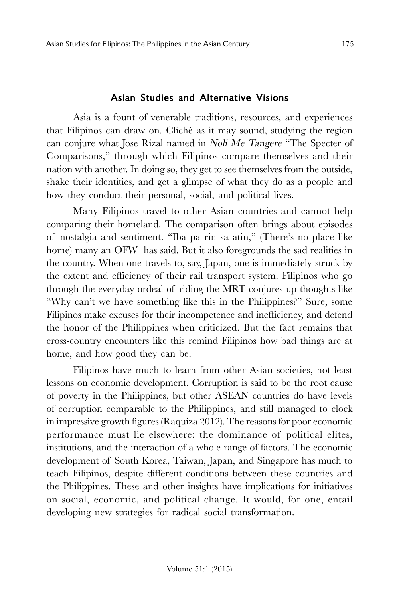# Asian Studies and Alternative Visions

Asia is a fount of venerable traditions, resources, and experiences that Filipinos can draw on. Cliché as it may sound, studying the region can conjure what Jose Rizal named in Noli Me Tangere "The Specter of Comparisons," through which Filipinos compare themselves and their nation with another. In doing so, they get to see themselves from the outside, shake their identities, and get a glimpse of what they do as a people and how they conduct their personal, social, and political lives.

Many Filipinos travel to other Asian countries and cannot help comparing their homeland. The comparison often brings about episodes of nostalgia and sentiment. "Iba pa rin sa atin," (There's no place like home) many an OFW has said. But it also foregrounds the sad realities in the country. When one travels to, say, Japan, one is immediately struck by the extent and efficiency of their rail transport system. Filipinos who go through the everyday ordeal of riding the MRT conjures up thoughts like "Why can't we have something like this in the Philippines?" Sure, some Filipinos make excuses for their incompetence and inefficiency, and defend the honor of the Philippines when criticized. But the fact remains that cross-country encounters like this remind Filipinos how bad things are at home, and how good they can be.

Filipinos have much to learn from other Asian societies, not least lessons on economic development. Corruption is said to be the root cause of poverty in the Philippines, but other ASEAN countries do have levels of corruption comparable to the Philippines, and still managed to clock in impressive growth figures (Raquiza 2012). The reasons for poor economic performance must lie elsewhere: the dominance of political elites, institutions, and the interaction of a whole range of factors. The economic development of South Korea, Taiwan, Japan, and Singapore has much to teach Filipinos, despite different conditions between these countries and the Philippines. These and other insights have implications for initiatives on social, economic, and political change. It would, for one, entail developing new strategies for radical social transformation.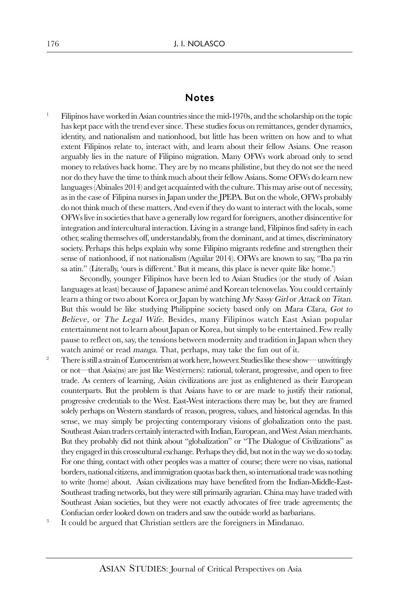#### Notes

<sup>1</sup> Filipinos have worked in Asian countries since the mid-1970s, and the scholarship on the topic has kept pace with the trend ever since. These studies focus on remittances, gender dynamics, identity, and nationalism and nationhood, but little has been written on how and to what extent Filipinos relate to, interact with, and learn about their fellow Asians. One reason arguably lies in the nature of Filipino migration. Many OFWs work abroad only to send money to relatives back home. They are by no means philistine, but they do not see the need nor do they have the time to think much about their fellow Asians. Some OFWs do learn new languages (Abinales 2014) and get acquainted with the culture. This may arise out of necessity, as in the case of Filipina nurses in Japan under the JPEPA. But on the whole, OFWs probably do not think much of these matters. And even if they do want to interact with the locals, some OFWs live in societies that have a generally low regard for foreigners, another disincentive for integration and intercultural interaction. Living in a strange land, Filipinos find safety in each other, sealing themselves off, understandably, from the dominant, and at times, discriminatory society. Perhaps this helps explain why some Filipino migrants redefine and strengthen their sense of nationhood, if not nationalism (Aguilar 2014). OFWs are known to say, "Iba pa rin sa atin." (Literally, 'ours is different.' But it means, this place is never quite like home.')

Secondly, younger Filipinos have been led to Asian Studies (or the study of Asian languages at least) because of Japanese animé and Korean telenovelas. You could certainly learn a thing or two about Korea or Japan by watching My Sassy Girl or Attack on Titan. But this would be like studying Philippine society based only on *Mara Clara*, Got to Believe, or The Legal Wife. Besides, many Filipinos watch East Asian popular entertainment not to learn about Japan or Korea, but simply to be entertained. Few really pause to reflect on, say, the tensions between modernity and tradition in Japan when they watch animé or read manga. That, perhaps, may take the fun out of it.

- <sup>2</sup> There is still a strain of Eurocentrism at work here, however. Studies like these show— unwittingly or not—that Asia(ns) are just like West(erners): rational, tolerant, progressive, and open to free trade. As centers of learning, Asian civilizations are just as enlightened as their European counterparts. But the problem is that Asians have to or are made to justify their rational, progressive credentials to the West. East-West interactions there may be, but they are framed solely perhaps on Western standards of reason, progress, values, and historical agendas. In this sense, we may simply be projecting contemporary visions of globalization onto the past. Southeast Asian traders certainly interacted with Indian, European, and West Asian merchants. But they probably did not think about "globalization" or "The Dialogue of Civilizations" as they engaged in this crosscultural exchange. Perhaps they did, but not in the way we do so today. For one thing, contact with other peoples was a matter of course; there were no visas, national borders, national citizens, and immigration quotas back then, so international trade was nothing to write (home) about. Asian civilizations may have benefited from the Indian-Middle-East-Southeast trading networks, but they were still primarily agrarian. China may have traded with Southeast Asian societies, but they were not exactly advocates of free trade agreements; the Confucian order looked down on traders and saw the outside world as barbarians.
- 3 It could be argued that Christian settlers are the foreigners in Mindanao.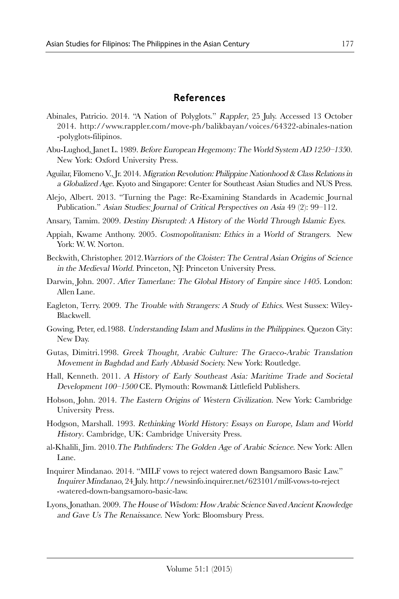### References

- Abinales, Patricio. 2014. "A Nation of Polyglots." Rappler, 25 July. Accessed 13 October 2014. http://www.rappler.com/move-ph/balikbayan/voices/64322-abinales-nation -polyglots-filipinos.
- Abu-Lughod, Janet L. 1989. Before European Hegemony: The World System AD 1250–1350. New York: Oxford University Press.
- Aguilar, Filomeno V., Jr. 2014. Migration Revolution: Philippine Nationhood & Class Relations in a Globalized Age. Kyoto and Singapore: Center for Southeast Asian Studies and NUS Press.
- Alejo, Albert. 2013. "Turning the Page: Re-Examining Standards in Academic Journal Publication." Asian Studies: Journal of Critical Perspectives on Asia 49 (2): 99–112.
- Ansary, Tamim. 2009. Destiny Disrupted: A History of the World Through Islamic Eyes.
- Appiah, Kwame Anthony. 2005. Cosmopolitanism: Ethics in a World of Strangers. New York: W. W. Norton.
- Beckwith, Christopher. 2012.Warriors of the Cloister: The Central Asian Origins of Science in the Medieval World. Princeton, NJ: Princeton University Press.
- Darwin, John. 2007. After Tamerlane: The Global History of Empire since 1405. London: Allen Lane.
- Eagleton, Terry. 2009. The Trouble with Strangers: A Study of Ethics. West Sussex: Wiley-Blackwell.
- Gowing, Peter, ed.1988. Understanding Islam and Muslims in the Philippines. Quezon City: New Day.
- Gutas, Dimitri.1998. Greek Thought, Arabic Culture: The Graeco-Arabic Translation Movement in Baghdad and Early Abbasid Society. New York: Routledge.
- Hall, Kenneth. 2011. A History of Early Southeast Asia: Maritime Trade and Societal Development 100–1500 CE. Plymouth: Rowman& Littlefield Publishers.
- Hobson, John. 2014. The Eastern Origins of Western Civilization. New York: Cambridge University Press.
- Hodgson, Marshall. 1993. Rethinking World History: Essays on Europe, Islam and World History. Cambridge, UK: Cambridge University Press.
- al-Khalili, Jim. 2010.The Pathfinders: The Golden Age of Arabic Science. New York: Allen Lane.
- Inquirer Mindanao. 2014. "MILF vows to reject watered down Bangsamoro Basic Law." Inquirer Mindanao, 24 July. http://newsinfo.inquirer.net/623101/milf-vows-to-reject -watered-down-bangsamoro-basic-law.
- Lyons, Jonathan. 2009.The House of Wisdom: How Arabic Science Saved Ancient Knowledge and Gave Us The Renaissance. New York: Bloomsbury Press.